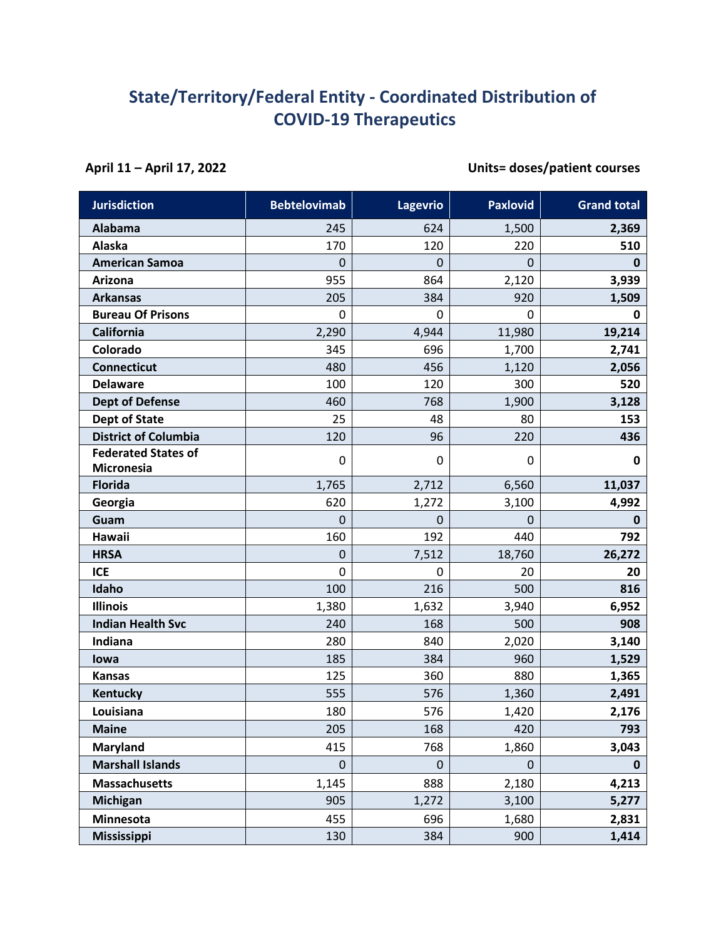## **State/Territory/Federal Entity - Coordinated Distribution of COVID-19 Therapeutics**

**April 11 – April 17, 2022 Units= doses/patient courses**

| <b>Jurisdiction</b>                             | <b>Bebtelovimab</b> | <b>Lagevrio</b> | <b>Paxlovid</b> | <b>Grand total</b> |
|-------------------------------------------------|---------------------|-----------------|-----------------|--------------------|
| Alabama                                         | 245                 | 624             | 1,500           | 2,369              |
| Alaska                                          | 170                 | 120             | 220             | 510                |
| <b>American Samoa</b>                           | $\Omega$            | $\mathbf 0$     | $\mathbf 0$     | $\mathbf 0$        |
| Arizona                                         | 955                 | 864             | 2,120           | 3,939              |
| <b>Arkansas</b>                                 | 205                 | 384             | 920             | 1,509              |
| <b>Bureau Of Prisons</b>                        | $\mathbf 0$         | 0               | 0               | 0                  |
| California                                      | 2,290               | 4,944           | 11,980          | 19,214             |
| Colorado                                        | 345                 | 696             | 1,700           | 2,741              |
| <b>Connecticut</b>                              | 480                 | 456             | 1,120           | 2,056              |
| <b>Delaware</b>                                 | 100                 | 120             | 300             | 520                |
| <b>Dept of Defense</b>                          | 460                 | 768             | 1,900           | 3,128              |
| <b>Dept of State</b>                            | 25                  | 48              | 80              | 153                |
| <b>District of Columbia</b>                     | 120                 | 96              | 220             | 436                |
| <b>Federated States of</b><br><b>Micronesia</b> | 0                   | 0               | 0               | 0                  |
| <b>Florida</b>                                  | 1,765               | 2,712           | 6,560           | 11,037             |
| Georgia                                         | 620                 | 1,272           | 3,100           | 4,992              |
| Guam                                            | $\overline{0}$      | $\mathbf 0$     | $\mathbf 0$     | $\mathbf 0$        |
| Hawaii                                          | 160                 | 192             | 440             | 792                |
| <b>HRSA</b>                                     | $\mathbf 0$         | 7,512           | 18,760          | 26,272             |
| <b>ICE</b>                                      | $\mathbf 0$         | 0               | 20              | 20                 |
| Idaho                                           | 100                 | 216             | 500             | 816                |
| <b>Illinois</b>                                 | 1,380               | 1,632           | 3,940           | 6,952              |
| <b>Indian Health Svc</b>                        | 240                 | 168             | 500             | 908                |
| Indiana                                         | 280                 | 840             | 2,020           | 3,140              |
| lowa                                            | 185                 | 384             | 960             | 1,529              |
| <b>Kansas</b>                                   | 125                 | 360             | 880             | 1,365              |
| Kentucky                                        | 555                 | 576             | 1,360           | 2,491              |
| Louisiana                                       | 180                 | 576             | 1,420           | 2,176              |
| <b>Maine</b>                                    | 205                 | 168             | 420             | 793                |
| <b>Maryland</b>                                 | 415                 | 768             | 1,860           | 3,043              |
| <b>Marshall Islands</b>                         | $\mathbf 0$         | $\mathbf 0$     | $\pmb{0}$       | $\mathbf 0$        |
| <b>Massachusetts</b>                            | 1,145               | 888             | 2,180           | 4,213              |
| <b>Michigan</b>                                 | 905                 | 1,272           | 3,100           | 5,277              |
| Minnesota                                       | 455                 | 696             | 1,680           | 2,831              |
| <b>Mississippi</b>                              | 130                 | 384             | 900             | 1,414              |